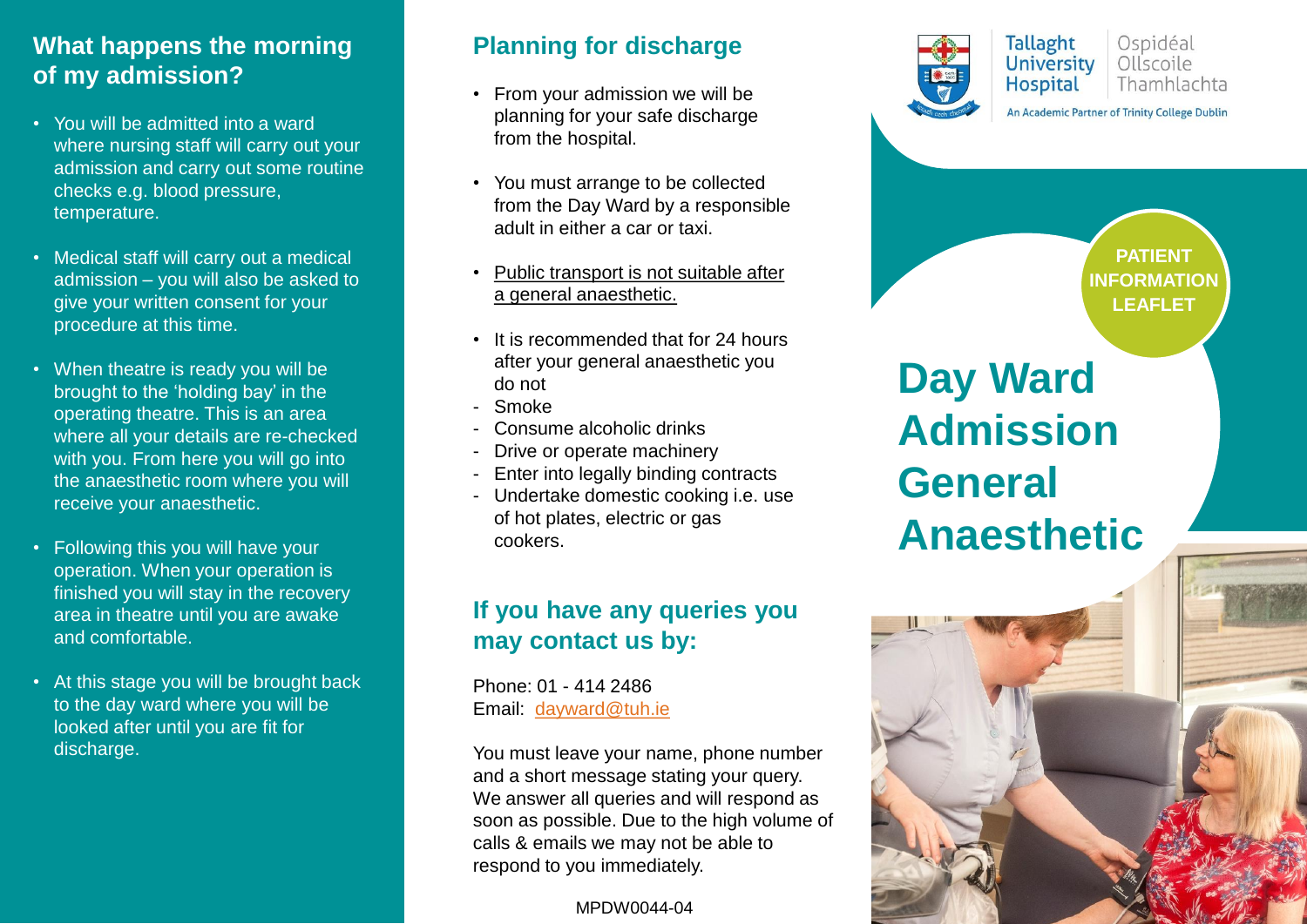#### **What happens the morning of my admission?**

- You will be admitted into a ward where nursing staff will carry out your admission and carry out some routine checks e.g. blood pressure, temperature.
- Medical staff will carry out a medical admission – you will also be asked to give your written consent for your procedure at this time.
- When theatre is ready you will be brought to the 'holding bay' in the operating theatre. This is an area where all your details are re-checked with you. From here you will go into the anaesthetic room where you will receive your anaesthetic.
- Following this you will have your operation. When your operation is finished you will stay in the recovery area in theatre until you are awake and comfortable.
- At this stage you will be brought back to the day ward where you will be looked after until you are fit for discharge.

#### **Planning for discharge**

- From your admission we will be planning for your safe discharge from the hospital.
- You must arrange to be collected from the Day Ward by a responsible adult in either a car or taxi.
- Public transport is not suitable after a general anaesthetic.
- It is recommended that for 24 hours after your general anaesthetic you do not
- Smoke
- Consume alcoholic drinks
- Drive or operate machinery
- Enter into legally binding contracts
- Undertake domestic cooking i.e. use of hot plates, electric or gas cookers.

## **If you have any queries you may contact us by:**

Phone: 01 - 414 2486 Email: [dayward@tuh.ie](mailto:dayward@tuh.ie)

You must leave your name, phone number and a short message stating your query. We answer all queries and will respond as soon as possible. Due to the high volume of calls & emails we may not be able to respond to you immediately.

MPDW0044-04



**PATIENT INFORMATION LEAFLET**

# **Day Ward Admission General Anaesthetic**